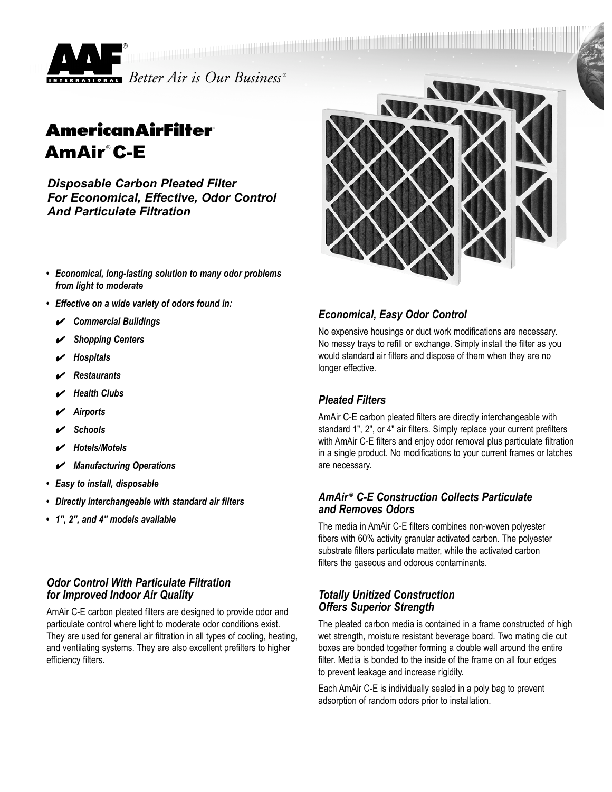

# **AmericanAirFilter** AmAir ® C-E

*Disposable Carbon Pleated Filter For Economical, Effective, Odor Control And Particulate Filtration*

- *• Economical, long-lasting solution to many odor problems from light to moderate*
- *• Effective on a wide variety of odors found in:*
	- ✔ *Commercial Buildings*
	- ✔ *Shopping Centers*
	- ✔ *Hospitals*
	- ✔ *Restaurants*
	- ✔ *Health Clubs*
	- ✔ *Airports*
	- ✔ *Schools*
	- ✔ *Hotels/Motels*
	- ✔ *Manufacturing Operations*
- *• Easy to install, disposable*
- *• Directly interchangeable with standard air filters*
- *• 1", 2", and 4" models available*

#### *Odor Control With Particulate Filtration for Improved Indoor Air Quality*

AmAir C-E carbon pleated filters are designed to provide odor and particulate control where light to moderate odor conditions exist. They are used for general air filtration in all types of cooling, heating, and ventilating systems. They are also excellent prefilters to higher efficiency filters.



### *Economical, Easy Odor Control*

No expensive housings or duct work modifications are necessary. No messy trays to refill or exchange. Simply install the filter as you would standard air filters and dispose of them when they are no longer effective.

## *Pleated Filters*

AmAir C-E carbon pleated filters are directly interchangeable with standard 1", 2", or 4" air filters. Simply replace your current prefilters with AmAir C-E filters and enjoy odor removal plus particulate filtration in a single product. No modifications to your current frames or latches are necessary.

#### *AmAir ® C-E Construction Collects Particulate and Removes Odors*

The media in AmAir C-E filters combines non-woven polyester fibers with 60% activity granular activated carbon. The polyester substrate filters particulate matter, while the activated carbon filters the gaseous and odorous contaminants.

#### *Totally Unitized Construction Offers Superior Strength*

The pleated carbon media is contained in a frame constructed of high wet strength, moisture resistant beverage board. Two mating die cut boxes are bonded together forming a double wall around the entire filter. Media is bonded to the inside of the frame on all four edges to prevent leakage and increase rigidity.

Each AmAir C-E is individually sealed in a poly bag to prevent adsorption of random odors prior to installation.